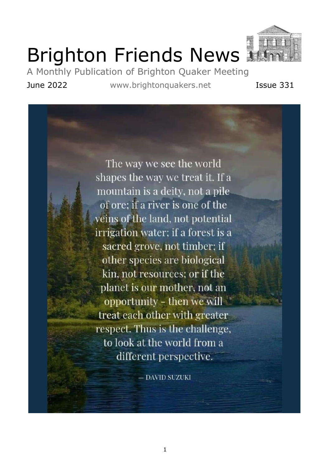

# Brighton Friends News

A Monthly Publication of Brighton Quaker Meeting June 2022 www.brightonquakers.net Issue 331



- DAVID SUZUKI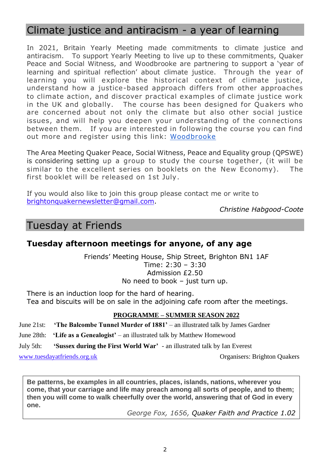# Climate justice and antiracism - a year of learning

In 2021, Britain Yearly Meeting made commitments to climate justice and antiracism. To support Yearly Meeting to live up to these commitments, Quaker Peace and Social Witness, and Woodbrooke are partnering to support a 'year of learning and spiritual reflection' about climate justice. Through the year of learning you will explore the historical context of climate justice, understand how a justice-based approach differs from other approaches to climate action, and discover practical examples of climate justice work in the UK and globally. The course has been designed for Quakers who are concerned about not only the climate but also other social justice issues, and will help you deepen your understanding of the connections between them. If you are interested in following the course you can find out more and register using this link: [Woodbrooke](https://www.woodbrooke.org.uk/product/exploring-faith-and-climate-justice/)

The Area Meeting Quaker Peace, Social Witness, Peace and Equality group (QPSWE) is considering setting up a group to study the course together, (it will be similar to the excellent series on booklets on the New Economy). The first booklet will be released on 1st July.

If you would also like to join this group please contact me or write to [brightonquakernewsletter@gmail.com.](mailto:brightonquakernewsletter@gmail.com)

*Christine Habgood-Coote*

### Tuesday at Friends

### **Tuesday afternoon meetings for anyone, of any age**

Friends' Meeting House, Ship Street, Brighton BN1 1AF Time: 2:30 – 3:30 Admission £2.50 No need to book – just turn up.

There is an induction loop for the hard of hearing. Tea and biscuits will be on sale in the adjoining cafe room after the meetings.

#### **PROGRAMME – SUMMER SEASON 2022**

June 21st: **'The Balcombe Tunnel Murder of 1881'** – an illustrated talk by James Gardner

June 28th: **'Life as a Genealogist'** – an illustrated talk by Matthew Homewood

July 5th: **'Sussex during the First World War'** - an illustrated talk by Ian Everest

[www.tuesdayatfriends.org.uk](http://www.tuesdayatfriends.org.uk/) **Organisers:** Brighton Quakers

**Be patterns, be examples in all countries, places, islands, nations, wherever you come, that your carriage and life may preach among all sorts of people, and to them; then you will come to walk cheerfully over the world, answering that of God in every one.**

*George Fox, 1656, Quaker Faith and Practice 1.02*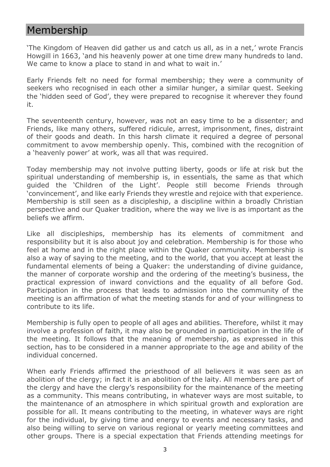# Membership

'The Kingdom of Heaven did gather us and catch us all, as in a net,' wrote Francis Howgill in 1663, 'and his heavenly power at one time drew many hundreds to land. We came to know a place to stand in and what to wait in.'

Early Friends felt no need for formal membership; they were a community of seekers who recognised in each other a similar hunger, a similar quest. Seeking the 'hidden seed of God', they were prepared to recognise it wherever they found it.

The seventeenth century, however, was not an easy time to be a dissenter; and Friends, like many others, suffered ridicule, arrest, imprisonment, fines, distraint of their goods and death. In this harsh climate it required a degree of personal commitment to avow membership openly. This, combined with the recognition of a 'heavenly power' at work, was all that was required.

Today membership may not involve putting liberty, goods or life at risk but the spiritual understanding of membership is, in essentials, the same as that which guided the 'Children of the Light'. People still become Friends through 'convincement', and like early Friends they wrestle and rejoice with that experience. Membership is still seen as a discipleship, a discipline within a broadly Christian perspective and our Quaker tradition, where the way we live is as important as the beliefs we affirm.

Like all discipleships, membership has its elements of commitment and responsibility but it is also about joy and celebration. Membership is for those who feel at home and in the right place within the Quaker community. Membership is also a way of saying to the meeting, and to the world, that you accept at least the fundamental elements of being a Quaker: the understanding of divine guidance, the manner of corporate worship and the ordering of the meeting's business, the practical expression of inward convictions and the equality of all before God. Participation in the process that leads to admission into the community of the meeting is an affirmation of what the meeting stands for and of your willingness to contribute to its life.

Membership is fully open to people of all ages and abilities. Therefore, whilst it may involve a profession of faith, it may also be grounded in participation in the life of the meeting. It follows that the meaning of membership, as expressed in this section, has to be considered in a manner appropriate to the age and ability of the individual concerned.

When early Friends affirmed the priesthood of all believers it was seen as an abolition of the clergy; in fact it is an abolition of the laity. All members are part of the clergy and have the clergy's responsibility for the maintenance of the meeting as a community. This means contributing, in whatever ways are most suitable, to the maintenance of an atmosphere in which spiritual growth and exploration are possible for all. It means contributing to the meeting, in whatever ways are right for the individual, by giving time and energy to events and necessary tasks, and also being willing to serve on various regional or yearly meeting committees and other groups. There is a special expectation that Friends attending meetings for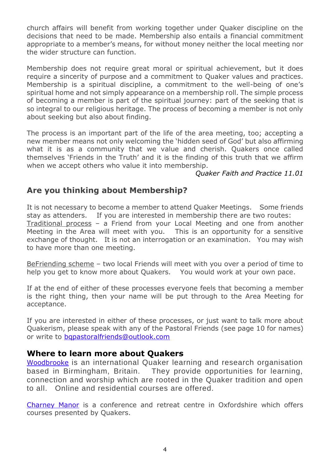church affairs will benefit from working together under Quaker discipline on the decisions that need to be made. Membership also entails a financial commitment appropriate to a member's means, for without money neither the local meeting nor the wider structure can function.

Membership does not require great moral or spiritual achievement, but it does require a sincerity of purpose and a commitment to Quaker values and practices. Membership is a spiritual discipline, a commitment to the well-being of one's spiritual home and not simply appearance on a membership roll. The simple process of becoming a member is part of the spiritual journey: part of the seeking that is so integral to our religious heritage. The process of becoming a member is not only about seeking but also about finding.

The process is an important part of the life of the area meeting, too; accepting a new member means not only welcoming the 'hidden seed of God' but also affirming what it is as a community that we value and cherish. Quakers once called themselves 'Friends in the Truth' and it is the finding of this truth that we affirm when we accept others who value it into membership.

#### *Quaker Faith and Practice 11.01*

### **Are you thinking about Membership?**

It is not necessary to become a member to attend Quaker Meetings. Some friends stay as attenders. If you are interested in membership there are two routes: Traditional process – a Friend from your Local Meeting and one from another Meeting in the Area will meet with you. This is an opportunity for a sensitive exchange of thought. It is not an interrogation or an examination. You may wish to have more than one meeting.

BeFriending scheme – two local Friends will meet with you over a period of time to help you get to know more about Quakers. You would work at your own pace.

If at the end of either of these processes everyone feels that becoming a member is the right thing, then your name will be put through to the Area Meeting for acceptance.

If you are interested in either of these processes, or just want to talk more about Quakerism, please speak with any of the Pastoral Friends (see page 10 for names) or write to bapastoralfriends@outlook.com

#### **Where to learn more about Quakers**

[Woodbrooke](https://www.woodbrooke.org.uk/) is an international Quaker learning and research organisation based in Birmingham, Britain. They provide opportunities for learning, connection and worship which are rooted in the Quaker tradition and open to all. Online and residential courses are offered.

[Charney Manor](https://www.charneymanor.com/) is a conference and retreat centre in Oxfordshire which offers courses presented by Quakers.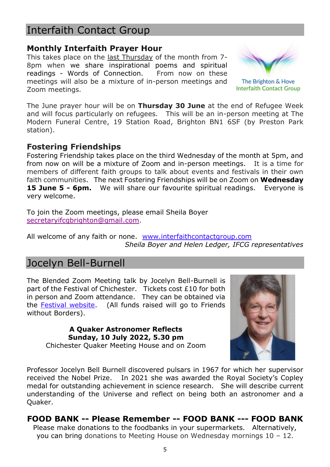# Interfaith Contact Group

### **Monthly Interfaith Prayer Hour**

This takes place on the last Thursday of the month from 7- 8pm when we share inspirational poems and spiritual readings - Words of Connection. From now on these meetings will also be a mixture of in-person meetings and Zoom meetings.



The Brighton & Hove **Interfaith Contact Group** 

The June prayer hour will be on **Thursday 30 June** at the end of Refugee Week and will focus particularly on refugees. This will be an in-person meeting at The Modern Funeral Centre, 19 Station Road, Brighton BN1 6SF (by Preston Park station).

#### **Fostering Friendships**

Fostering Friendship takes place on the third Wednesday of the month at 5pm, and from now on will be a mixture of Zoom and in-person meetings. It is a time for members of different faith groups to talk about events and festivals in their own faith communities. The next Fostering Friendships will be on Zoom on **Wednesday 15 June 5 - 6pm.** We will share our favourite spiritual readings. Everyone is very welcome.

To join the Zoom meetings, please email Sheila Boyer [secretaryifcgbrighton@gmail.com.](mailto:secretaryifcg@gmail.com)

All welcome of any faith or none. [www.interfaithcontactgroup.com](http://www.interfaithcontactgroup.com/) *Sheila Boyer and Helen Ledger, IFCG representatives*

### Jocelyn Bell-Burnell

The Blended Zoom Meeting talk by Jocelyn Bell-Burnell is part of the Festival of Chichester. Tickets cost £10 for both in person and Zoom attendance. They can be obtained via the [Festival website.](https://chichesterboxoffice.ticketsolve.com/shows/873624731) (All funds raised will go to Friends without Borders).

**A Quaker Astronomer Reflects Sunday, 10 July 2022, 5.30 pm** Chichester Quaker Meeting House and on Zoom



Professor Jocelyn Bell Burnell discovered pulsars in 1967 for which her supervisor received the Nobel Prize. In 2021 she was awarded the Royal Society's Copley medal for outstanding achievement in science research. She will describe current understanding of the Universe and reflect on being both an astronomer and a Quaker.

### **FOOD BANK -- Please Remember -- FOOD BANK --- FOOD BANK**

Please make donations to the foodbanks in your supermarkets. Alternatively, you can bring donations to Meeting House on Wednesday mornings 10 – 12.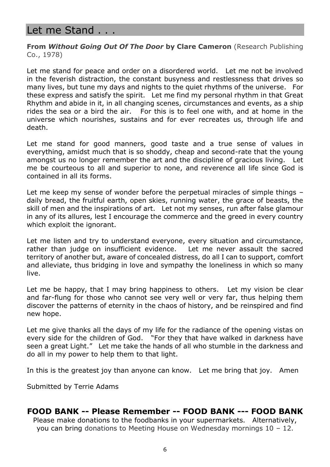# Let me Stand . . .

**From** *Without Going Out Of The Door* **by Clare Cameron** (Research Publishing Co., 1978)

Let me stand for peace and order on a disordered world. Let me not be involved in the feverish distraction, the constant busyness and restlessness that drives so many lives, but tune my days and nights to the quiet rhythms of the universe. For these express and satisfy the spirit. Let me find my personal rhythm in that Great Rhythm and abide in it, in all changing scenes, circumstances and events, as a ship rides the sea or a bird the air. For this is to feel one with, and at home in the universe which nourishes, sustains and for ever recreates us, through life and death.

Let me stand for good manners, good taste and a true sense of values in everything, amidst much that is so shoddy, cheap and second-rate that the young amongst us no longer remember the art and the discipline of gracious living. Let me be courteous to all and superior to none, and reverence all life since God is contained in all its forms.

Let me keep my sense of wonder before the perpetual miracles of simple things daily bread, the fruitful earth, open skies, running water, the grace of beasts, the skill of men and the inspirations of art. Let not my senses, run after false glamour in any of its allures, lest I encourage the commerce and the greed in every country which exploit the ignorant.

Let me listen and try to understand everyone, every situation and circumstance, rather than judge on insufficient evidence. Let me never assault the sacred territory of another but, aware of concealed distress, do all I can to support, comfort and alleviate, thus bridging in love and sympathy the loneliness in which so many live.

Let me be happy, that I may bring happiness to others. Let my vision be clear and far-flung for those who cannot see very well or very far, thus helping them discover the patterns of eternity in the chaos of history, and be reinspired and find new hope.

Let me give thanks all the days of my life for the radiance of the opening vistas on every side for the children of God. "For they that have walked in darkness have seen a great Light." Let me take the hands of all who stumble in the darkness and do all in my power to help them to that light.

In this is the greatest joy than anyone can know. Let me bring that joy. Amen

Submitted by Terrie Adams

### **FOOD BANK -- Please Remember -- FOOD BANK --- FOOD BANK**

Please make donations to the foodbanks in your supermarkets. Alternatively, you can bring donations to Meeting House on Wednesday mornings 10 – 12.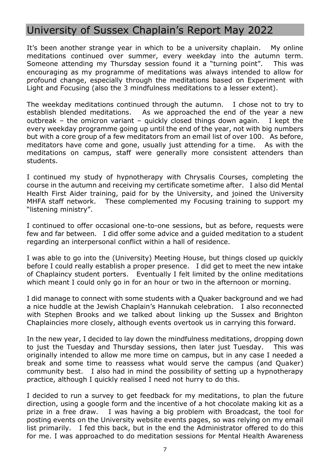# University of Sussex Chaplain's Report May 2022

It's been another strange year in which to be a university chaplain. My online meditations continued over summer, every weekday into the autumn term. Someone attending my Thursday session found it a "turning point". This was encouraging as my programme of meditations was always intended to allow for profound change, especially through the meditations based on Experiment with Light and Focusing (also the 3 mindfulness meditations to a lesser extent).

The weekday meditations continued through the autumn. I chose not to try to establish blended meditations. As we approached the end of the year a new outbreak – the omicron variant – quickly closed things down again. I kept the every weekday programme going up until the end of the year, not with big numbers but with a core group of a few meditators from an email list of over 100. As before, meditators have come and gone, usually just attending for a time. As with the meditations on campus, staff were generally more consistent attenders than students.

I continued my study of hypnotherapy with Chrysalis Courses, completing the course in the autumn and receiving my certificate sometime after. I also did Mental Health First Aider training, paid for by the University, and joined the University MHFA staff network. These complemented my Focusing training to support my "listening ministry".

I continued to offer occasional one-to-one sessions, but as before, requests were few and far between. I did offer some advice and a guided meditation to a student regarding an interpersonal conflict within a hall of residence.

I was able to go into the (University) Meeting House, but things closed up quickly before I could really establish a proper presence. I did get to meet the new intake of Chaplaincy student porters. Eventually I felt limited by the online meditations which meant I could only go in for an hour or two in the afternoon or morning.

I did manage to connect with some students with a Quaker background and we had a nice huddle at the Jewish Chaplain's Hannukah celebration. I also reconnected with Stephen Brooks and we talked about linking up the Sussex and Brighton Chaplaincies more closely, although events overtook us in carrying this forward.

In the new year, I decided to lay down the mindfulness meditations, dropping down to just the Tuesday and Thursday sessions, then later just Tuesday. This was originally intended to allow me more time on campus, but in any case I needed a break and some time to reassess what would serve the campus (and Quaker) community best. I also had in mind the possibility of setting up a hypnotherapy practice, although I quickly realised I need not hurry to do this.

I decided to run a survey to get feedback for my meditations, to plan the future direction, using a google form and the incentive of a hot chocolate making kit as a prize in a free draw. I was having a big problem with Broadcast, the tool for posting events on the University website events pages, so was relying on my email list primarily. I fed this back, but in the end the Administrator offered to do this for me. I was approached to do meditation sessions for Mental Health Awareness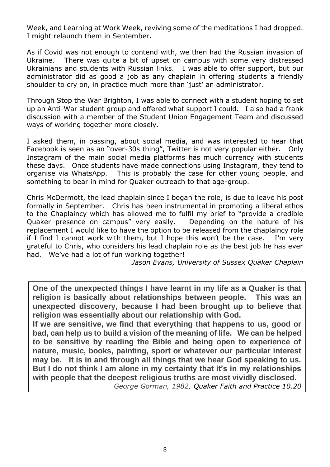Week, and Learning at Work Week, reviving some of the meditations I had dropped. I might relaunch them in September.

As if Covid was not enough to contend with, we then had the Russian invasion of Ukraine. There was quite a bit of upset on campus with some very distressed Ukrainians and students with Russian links. I was able to offer support, but our administrator did as good a job as any chaplain in offering students a friendly shoulder to cry on, in practice much more than 'just' an administrator.

Through Stop the War Brighton, I was able to connect with a student hoping to set up an Anti-War student group and offered what support I could. I also had a frank discussion with a member of the Student Union Engagement Team and discussed ways of working together more closely.

I asked them, in passing, about social media, and was interested to hear that Facebook is seen as an "over-30s thing", Twitter is not very popular either. Only Instagram of the main social media platforms has much currency with students these days. Once students have made connections using Instagram, they tend to organise via WhatsApp. This is probably the case for other young people, and something to bear in mind for Quaker outreach to that age-group.

Chris McDermott, the lead chaplain since I began the role, is due to leave his post formally in September. Chris has been instrumental in promoting a liberal ethos to the Chaplaincy which has allowed me to fulfil my brief to "provide a credible Quaker presence on campus" very easily. Depending on the nature of his replacement I would like to have the option to be released from the chaplaincy role if I find I cannot work with them, but I hope this won't be the case. I'm very grateful to Chris, who considers his lead chaplain role as the best job he has ever had. We've had a lot of fun working together!

*Jason Evans, University of Sussex Quaker Chaplain*

**One of the unexpected things I have learnt in my life as a Quaker is that religion is basically about relationships between people. This was an unexpected discovery, because I had been brought up to believe that religion was essentially about our relationship with God.**

**If we are sensitive, we find that everything that happens to us, good or bad, can help us to build a vision of the meaning of life. We can be helped to be sensitive by reading the Bible and being open to experience of nature, music, books, painting, sport or whatever our particular interest may be. It is in and through all things that we hear God speaking to us. But I do not think I am alone in my certainty that it's in my relationships with people that the deepest religious truths are most vividly disclosed.**

*George Gorman, 1982, Quaker Faith and Practice 10.20*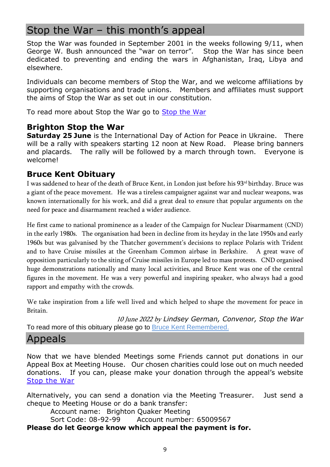# Stop the War – this month's appeal

Stop the War was founded in September 2001 in the weeks following 9/11, when George W. Bush announced the "war on terror". Stop the War has since been dedicated to preventing and ending the wars in Afghanistan, Iraq, Libya and elsewhere.

Individuals can become members of Stop the War, and we welcome affiliations by supporting organisations and trade unions. Members and affiliates must support the aims of Stop the War as set out in our constitution.

To read more about Stop the War go to [Stop the War](https://www.stopwar.org.uk/)

#### **Brighton Stop the War**

**Saturday 25 June** is the International Day of Action for Peace in Ukraine. There will be a rally with speakers starting 12 noon at New Road. Please bring banners and placards. The rally will be followed by a march through town. Everyone is welcome!

#### **Bruce Kent Obituary**

I was saddened to hear of the death of Bruce Kent, in London just before his 93<sup>rd</sup> birthday. Bruce was a giant of the peace movement. He was a tireless campaigner against war and nuclear weapons, was known internationally for his work, and did a great deal to ensure that popular arguments on the need for peace and disarmament reached a wider audience.

He first came to national prominence as a leader of the Campaign for Nuclear Disarmament (CND) in the early 1980s. The organisation had been in decline from its heyday in the late 1950s and early 1960s but was galvanised by the Thatcher government's decisions to replace Polaris with Trident and to have Cruise missiles at the Greenham Common airbase in Berkshire. A great wave of opposition particularly to the siting of Cruise missiles in Europe led to mass protests. CND organised huge demonstrations nationally and many local activities, and Bruce Kent was one of the central figures in the movement. He was a very powerful and inspiring speaker, who always had a good rapport and empathy with the crowds.

We take inspiration from a life well lived and which helped to shape the movement for peace in Britain.

10 June <sup>2022</sup> by *Lindsey German, Convenor, Stop the War* To read more of this obituary please go to [Bruce Kent Remembered.](https://www.stopwar.org.uk/article/bruce-kent-remembered-by-lindsey-german/)

### Appeals

Now that we have blended Meetings some Friends cannot put donations in our Appeal Box at Meeting House. Our chosen charities could lose out on much needed donations. If you can, please make your donation through the appeal's website [Stop the War](https://www.stopwar.org.uk/donate/)

Alternatively, you can send a donation via the Meeting Treasurer. Just send a cheque to Meeting House or do a bank transfer:

Account name: Brighton Quaker Meeting

Sort Code: 08-92-99 Account number: 65009567

#### **Please do let George know which appeal the payment is for.**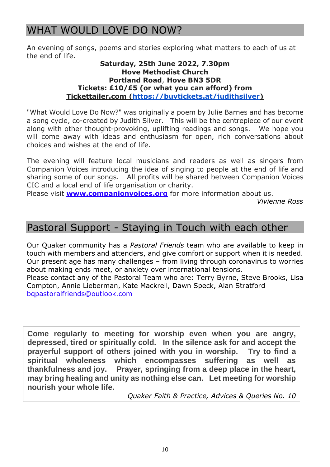# WHAT WOULD LOVE DO NOW?

An evening of songs, poems and stories exploring what matters to each of us at the end of life.

#### **Saturday, 25th June 2022, 7.30pm Hove Methodist Church Portland Road**, **Hove BN3 5DR Tickets: £10/£5 (or what you can afford) from Tickettailer.com [\(https://buytickets.at/judithsilver\)](https://buytickets.at/judithsilver)**

"What Would Love Do Now?" was originally a poem by Julie Barnes and has become a song cycle, co-created by Judith Silver. This will be the centrepiece of our event along with other thought-provoking, uplifting readings and songs. We hope you will come away with ideas and enthusiasm for open, rich conversations about choices and wishes at the end of life.

The evening will feature local musicians and readers as well as singers from Companion Voices introducing the idea of singing to people at the end of life and sharing some of our songs. All profits will be shared between Companion Voices CIC and a local end of life organisation or charity.

Please visit **[www.companionvoices.org](http://www.companionvoices.org/)** for more information about us.

*Vivienne Ross*

# Pastoral Support - Staying in Touch with each other

Our Quaker community has a *Pastoral Friends* team who are available to keep in touch with members and attenders, and give comfort or support when it is needed. Our present age has many challenges – from living through coronavirus to worries about making ends meet, or anxiety over international tensions.

Please contact any of the Pastoral Team who are: Terry Byrne, Steve Brooks, Lisa Compton, Annie Lieberman, Kate Mackrell, Dawn Speck, Alan Stratford [bqpastoralfriends@outlook.com](mailto:bqpastoralfriends@outlook.com)

**Come regularly to meeting for worship even when you are angry, depressed, tired or spiritually cold. In the silence ask for and accept the prayerful support of others joined with you in worship. Try to find a spiritual wholeness which encompasses suffering as well as thankfulness and joy. Prayer, springing from a deep place in the heart, may bring healing and unity as nothing else can. Let meeting for worship nourish your whole life.**

*Quaker Faith & Practice, Advices & Queries No. 10*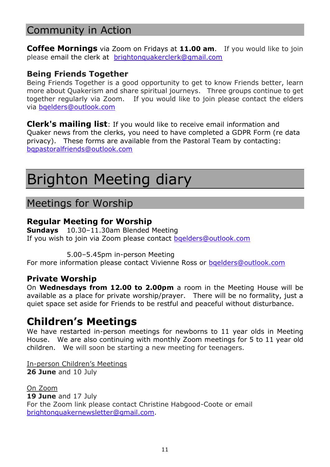# Community in Action

**Coffee Mornings** via Zoom on Fridays at **11.00 am**. If you would like to join please email the clerk at [brightonquakerclerk@gmail.com](mailto:brightonquakerclerk@gmail.com)

### **Being Friends Together**

Being Friends Together is a good opportunity to get to know Friends better, learn more about Quakerism and share spiritual journeys. Three groups continue to get together regularly via Zoom. If you would like to join please contact the elders via [bqelders@outlook.com](mailto:bqelders@outlook.com)

**Clerk's mailing list**: If you would like to receive email information and Quaker news from the clerks, you need to have completed a GDPR Form (re data privacy). These forms are available from the Pastoral Team by contacting: [bqpastoralfriends@outlook.com](mailto:bqpastoralfriends@outlook.com)

# Brighton Meeting diary

### Meetings for Worship

### **Regular Meeting for Worship**

**Sundays** 10.30–11.30am Blended Meeting If you wish to join via Zoom please contact [bqelders@outlook.com](mailto:bqelders@outlook.com)

5.00–5.45pm in-person Meeting

For more information please contact Vivienne Ross or [bqelders@outlook.com](mailto:bqelders@outlook.com)

### **Private Worship**

On **Wednesdays from 12.00 to 2.00pm** a room in the Meeting House will be available as a place for private worship/prayer. There will be no formality, just a quiet space set aside for Friends to be restful and peaceful without disturbance.

# **Children's Meetings**

We have restarted in-person meetings for newborns to 11 year olds in Meeting House. We are also continuing with monthly Zoom meetings for 5 to 11 year old children. We will soon be starting a new meeting for teenagers.

In-person Children's Meetings **26 June** and 10 July

On Zoom **19 June** and 17 July For the Zoom link please contact Christine Habgood-Coote or email [brightonquakernewsletter@gmail.com.](mailto:brightonquakernewsletter@gmail.com)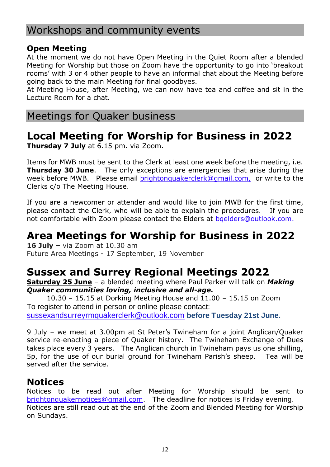# Workshops and community events

### **Open Meeting**

At the moment we do not have Open Meeting in the Quiet Room after a blended Meeting for Worship but those on Zoom have the opportunity to go into 'breakout rooms' with 3 or 4 other people to have an informal chat about the Meeting before going back to the main Meeting for final goodbyes.

At Meeting House, after Meeting, we can now have tea and coffee and sit in the Lecture Room for a chat.

### Meetings for Quaker business

# **Local Meeting for Worship for Business in 2022**

**Thursday 7 July** at 6.15 pm. via Zoom.

Items for MWB must be sent to the Clerk at least one week before the meeting, i.e. **Thursday 30 June**. The only exceptions are emergencies that arise during the week before MWB. Please email **brightonquakerclerk@gmail.com**, or write to the Clerks c/o The Meeting House.

If you are a newcomer or attender and would like to join MWB for the first time, please contact the Clerk, who will be able to explain the procedures. If you are not comfortable with Zoom please contact the Elders at [bqelders@outlook.com.](mailto:bqelders@outlook.com)

# **Area Meetings for Worship for Business in 2022**

**16 July –** via Zoom at 10.30 am Future Area Meetings - 17 September, 19 November

# **Sussex and Surrey Regional Meetings 2022**

**Saturday 25 June** – a blended meeting where Paul Parker will talk on *Making Quaker communities loving, inclusive and all-age.*

10.30 – 15.15 at Dorking Meeting House and 11.00 – 15.15 on Zoom To register to attend in person or online please contact: [sussexandsurreyrmquakerclerk@outlook.com](mailto:sussexandsurreyrmquakerclerk@outlook.com) **before Tuesday 21st June.**

9 July – we meet at 3.00pm at St Peter's Twineham for a joint Anglican/Quaker service re-enacting a piece of Quaker history. The Twineham Exchange of Dues takes place every 3 years. The Anglican church in Twineham pays us one shilling, 5p, for the use of our burial ground for Twineham Parish's sheep. Tea will be served after the service.

### **Notices**

Notices to be read out after Meeting for Worship should be sent to [brightonquakernotices@gmail.com.](mailto:brightonquakernotices@gmail.com) The deadline for notices is Friday evening. Notices are still read out at the end of the Zoom and Blended Meeting for Worship on Sundays.